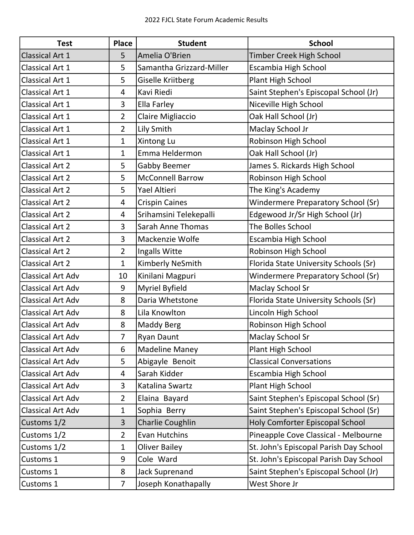| <b>Test</b>              | Place          | <b>Student</b>           | <b>School</b>                          |
|--------------------------|----------------|--------------------------|----------------------------------------|
| <b>Classical Art 1</b>   | 5              | Amelia O'Brien           | Timber Creek High School               |
| Classical Art 1          | 5              | Samantha Grizzard-Miller | Escambia High School                   |
| Classical Art 1          | 5              | Giselle Kriitberg        | Plant High School                      |
| Classical Art 1          | 4              | Kavi Riedi               | Saint Stephen's Episcopal School (Jr)  |
| Classical Art 1          | 3              | Ella Farley              | Niceville High School                  |
| Classical Art 1          | $\overline{2}$ | Claire Migliaccio        | Oak Hall School (Jr)                   |
| <b>Classical Art 1</b>   | $\overline{2}$ | Lily Smith               | Maclay School Jr                       |
| Classical Art 1          | $\mathbf{1}$   | Xintong Lu               | Robinson High School                   |
| Classical Art 1          | 1              | Emma Heldermon           | Oak Hall School (Jr)                   |
| <b>Classical Art 2</b>   | 5              | <b>Gabby Beemer</b>      | James S. Rickards High School          |
| <b>Classical Art 2</b>   | 5              | <b>McConnell Barrow</b>  | Robinson High School                   |
| <b>Classical Art 2</b>   | 5              | Yael Altieri             | The King's Academy                     |
| <b>Classical Art 2</b>   | 4              | <b>Crispin Caines</b>    | Windermere Preparatory School (Sr)     |
| <b>Classical Art 2</b>   | 4              | Srihamsini Telekepalli   | Edgewood Jr/Sr High School (Jr)        |
| <b>Classical Art 2</b>   | 3              | <b>Sarah Anne Thomas</b> | The Bolles School                      |
| <b>Classical Art 2</b>   | 3              | Mackenzie Wolfe          | Escambia High School                   |
| <b>Classical Art 2</b>   | $\overline{2}$ | Ingalls Witte            | Robinson High School                   |
| <b>Classical Art 2</b>   | $\mathbf{1}$   | Kimberly NeSmith         | Florida State University Schools (Sr)  |
| <b>Classical Art Adv</b> | 10             | Kinilani Magpuri         | Windermere Preparatory School (Sr)     |
| <b>Classical Art Adv</b> | 9              | Myriel Byfield           | <b>Maclay School Sr</b>                |
| <b>Classical Art Adv</b> | 8              | Daria Whetstone          | Florida State University Schools (Sr)  |
| <b>Classical Art Adv</b> | 8              | Lila Knowlton            | Lincoln High School                    |
| <b>Classical Art Adv</b> | 8              | Maddy Berg               | Robinson High School                   |
| <b>Classical Art Adv</b> | 7              | <b>Ryan Daunt</b>        | <b>Maclay School Sr</b>                |
| <b>Classical Art Adv</b> | 6              | <b>Madeline Maney</b>    | Plant High School                      |
| <b>Classical Art Adv</b> | 5              | Abigayle Benoit          | <b>Classical Conversations</b>         |
| <b>Classical Art Adv</b> | 4              | Sarah Kidder             | Escambia High School                   |
| <b>Classical Art Adv</b> | 3              | Katalina Swartz          | Plant High School                      |
| <b>Classical Art Adv</b> | $\overline{2}$ | Elaina Bayard            | Saint Stephen's Episcopal School (Sr)  |
| <b>Classical Art Adv</b> | $\mathbf{1}$   | Sophia Berry             | Saint Stephen's Episcopal School (Sr)  |
| Customs 1/2              | 3              | Charlie Coughlin         | Holy Comforter Episcopal School        |
| Customs 1/2              | $\overline{2}$ | <b>Evan Hutchins</b>     | Pineapple Cove Classical - Melbourne   |
| Customs 1/2              | $\mathbf{1}$   | <b>Oliver Bailey</b>     | St. John's Episcopal Parish Day School |
| Customs 1                | 9              | Cole Ward                | St. John's Episcopal Parish Day School |
| Customs 1                | 8              | <b>Jack Suprenand</b>    | Saint Stephen's Episcopal School (Jr)  |
| Customs 1                | $\overline{7}$ | Joseph Konathapally      | West Shore Jr                          |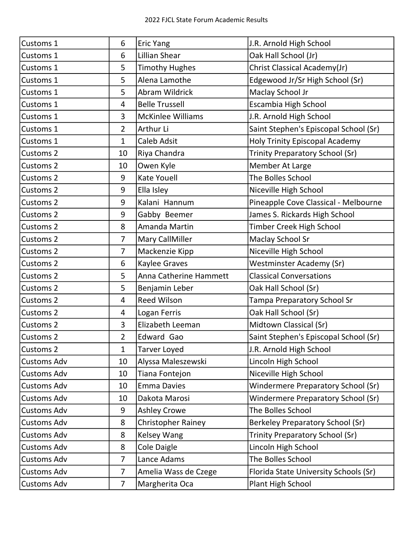| Customs 1          | 6              | <b>Eric Yang</b>          | J.R. Arnold High School                 |
|--------------------|----------------|---------------------------|-----------------------------------------|
| Customs 1          | 6              | Lillian Shear             | Oak Hall School (Jr)                    |
| Customs 1          | 5              | <b>Timothy Hughes</b>     | Christ Classical Academy(Jr)            |
| Customs 1          | 5              | Alena Lamothe             | Edgewood Jr/Sr High School (Sr)         |
| Customs 1          | 5              | Abram Wildrick            | Maclay School Jr                        |
| Customs 1          | 4              | <b>Belle Trussell</b>     | Escambia High School                    |
| Customs 1          | 3              | <b>McKinlee Williams</b>  | J.R. Arnold High School                 |
| Customs 1          | $\overline{2}$ | Arthur Li                 | Saint Stephen's Episcopal School (Sr)   |
| Customs 1          | $\mathbf{1}$   | <b>Caleb Adsit</b>        | <b>Holy Trinity Episcopal Academy</b>   |
| <b>Customs 2</b>   | 10             | Riya Chandra              | Trinity Preparatory School (Sr)         |
| <b>Customs 2</b>   | 10             | Owen Kyle                 | Member At Large                         |
| Customs 2          | 9              | <b>Kate Youell</b>        | The Bolles School                       |
| Customs 2          | 9              | Ella Isley                | Niceville High School                   |
| Customs 2          | 9              | Kalani Hannum             | Pineapple Cove Classical - Melbourne    |
| Customs 2          | 9              | Gabby Beemer              | James S. Rickards High School           |
| Customs 2          | 8              | Amanda Martin             | <b>Timber Creek High School</b>         |
| Customs 2          | $\overline{7}$ | Mary CallMiller           | <b>Maclay School Sr</b>                 |
| Customs 2          | $\overline{7}$ | Mackenzie Kipp            | Niceville High School                   |
| Customs 2          | 6              | Kaylee Graves             | Westminster Academy (Sr)                |
| Customs 2          | 5              | Anna Catherine Hammett    | <b>Classical Conversations</b>          |
| Customs 2          | 5              | Benjamin Leber            | Oak Hall School (Sr)                    |
| Customs 2          | $\overline{4}$ | <b>Reed Wilson</b>        | <b>Tampa Preparatory School Sr</b>      |
| Customs 2          | 4              | Logan Ferris              | Oak Hall School (Sr)                    |
| Customs 2          | 3              | Elizabeth Leeman          | Midtown Classical (Sr)                  |
| <b>Customs 2</b>   | 2              | Edward Gao                | Saint Stephen's Episcopal School (Sr)   |
| Customs 2          | $\mathbf{1}$   | <b>Tarver Loyed</b>       | J.R. Arnold High School                 |
| <b>Customs Adv</b> | 10             | Alyssa Maleszewski        | Lincoln High School                     |
| <b>Customs Adv</b> | 10             | Tiana Fontejon            | Niceville High School                   |
| <b>Customs Adv</b> | 10             | <b>Emma Davies</b>        | Windermere Preparatory School (Sr)      |
| <b>Customs Adv</b> | 10             | Dakota Marosi             | Windermere Preparatory School (Sr)      |
| <b>Customs Adv</b> | 9              | <b>Ashley Crowe</b>       | The Bolles School                       |
| <b>Customs Adv</b> | 8              | <b>Christopher Rainey</b> | <b>Berkeley Preparatory School (Sr)</b> |
| <b>Customs Adv</b> | 8              | Kelsey Wang               | Trinity Preparatory School (Sr)         |
| <b>Customs Adv</b> | 8              | Cole Daigle               | Lincoln High School                     |
| <b>Customs Adv</b> | $\overline{7}$ | Lance Adams               | The Bolles School                       |
| <b>Customs Adv</b> | 7              | Amelia Wass de Czege      | Florida State University Schools (Sr)   |
| <b>Customs Adv</b> | 7              | Margherita Oca            | Plant High School                       |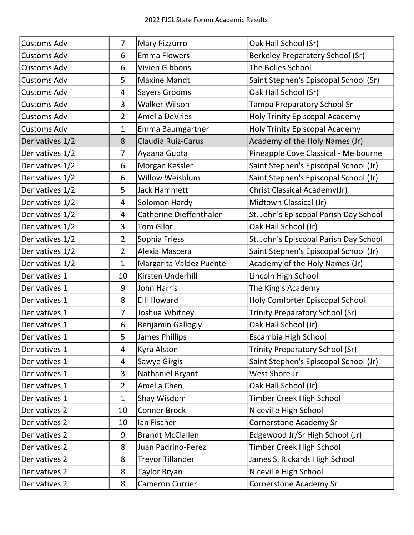| <b>Customs Adv</b> | $\overline{7}$ | <b>Mary Pizzurro</b>           | Oak Hall School (Sr)                    |
|--------------------|----------------|--------------------------------|-----------------------------------------|
| <b>Customs Adv</b> | 6              | <b>Emma Flowers</b>            | <b>Berkeley Preparatory School (Sr)</b> |
| <b>Customs Adv</b> | 6              | <b>Vivien Gibbons</b>          | The Bolles School                       |
| <b>Customs Adv</b> | 5              | <b>Maxine Mandt</b>            | Saint Stephen's Episcopal School (Sr)   |
| <b>Customs Adv</b> | 4              | <b>Sayers Grooms</b>           | Oak Hall School (Sr)                    |
| <b>Customs Adv</b> | 3              | <b>Walker Wilson</b>           | Tampa Preparatory School Sr             |
| <b>Customs Adv</b> | $\overline{2}$ | Amelia DeVries                 | <b>Holy Trinity Episcopal Academy</b>   |
| <b>Customs Adv</b> | $\mathbf{1}$   | Emma Baumgartner               | <b>Holy Trinity Episcopal Academy</b>   |
| Derivatives 1/2    | 8              | Claudia Ruiz-Carus             | Academy of the Holy Names (Jr)          |
| Derivatives 1/2    | $\overline{7}$ | Ayaana Gupta                   | Pineapple Cove Classical - Melbourne    |
| Derivatives 1/2    | 6              | Morgan Kessler                 | Saint Stephen's Episcopal School (Jr)   |
| Derivatives 1/2    | 6              | <b>Willow Weisblum</b>         | Saint Stephen's Episcopal School (Jr)   |
| Derivatives 1/2    | 5              | <b>Jack Hammett</b>            | Christ Classical Academy(Jr)            |
| Derivatives 1/2    | 4              | Solomon Hardy                  | Midtown Classical (Jr)                  |
| Derivatives 1/2    | 4              | <b>Catherine Dieffenthaler</b> | St. John's Episcopal Parish Day School  |
| Derivatives 1/2    | 3              | <b>Tom Gilor</b>               | Oak Hall School (Jr)                    |
| Derivatives 1/2    | $\overline{2}$ | Sophia Friess                  | St. John's Episcopal Parish Day School  |
| Derivatives 1/2    | $\overline{2}$ | Alexia Mascera                 | Saint Stephen's Episcopal School (Jr)   |
| Derivatives 1/2    | $\mathbf{1}$   | Margarita Valdez Puente        | Academy of the Holy Names (Jr)          |
| Derivatives 1      | 10             | Kirsten Underhill              | Lincoln High School                     |
| Derivatives 1      | 9              | <b>John Harris</b>             | The King's Academy                      |
| Derivatives 1      | 8              | Elli Howard                    | Holy Comforter Episcopal School         |
| Derivatives 1      | 7              | Joshua Whitney                 | Trinity Preparatory School (Sr)         |
| Derivatives 1      | 6              | <b>Benjamin Gallogly</b>       | Oak Hall School (Jr)                    |
| Derivatives 1      | 5              | <b>James Phillips</b>          | Escambia High School                    |
| Derivatives 1      | 4              | Kyra Alston                    | Trinity Preparatory School (Sr)         |
| Derivatives 1      | 4              | Sawye Girgis                   | Saint Stephen's Episcopal School (Jr)   |
| Derivatives 1      | 3              | Nathaniel Bryant               | West Shore Jr                           |
| Derivatives 1      | $\overline{2}$ | Amelia Chen                    | Oak Hall School (Jr)                    |
| Derivatives 1      | $\mathbf{1}$   | Shay Wisdom                    | Timber Creek High School                |
| Derivatives 2      | 10             | <b>Conner Brock</b>            | Niceville High School                   |
| Derivatives 2      | 10             | Ian Fischer                    | <b>Cornerstone Academy Sr</b>           |
| Derivatives 2      | 9              | <b>Brandt McClallen</b>        | Edgewood Jr/Sr High School (Jr)         |
| Derivatives 2      | 8              | Juan Padrino-Perez             | Timber Creek High School                |
| Derivatives 2      | 8              | <b>Trevor Tillander</b>        | James S. Rickards High School           |
| Derivatives 2      | 8              | Taylor Bryan                   | Niceville High School                   |
| Derivatives 2      | 8              | Cameron Currier                | <b>Cornerstone Academy Sr</b>           |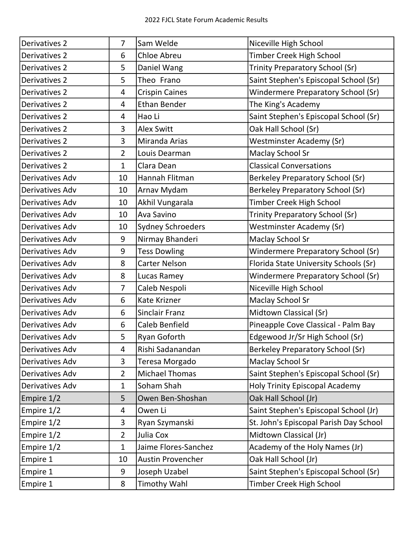| Derivatives 2   | $\overline{7}$ | Sam Welde                | Niceville High School                  |
|-----------------|----------------|--------------------------|----------------------------------------|
| Derivatives 2   | 6              | Chloe Abreu              | Timber Creek High School               |
| Derivatives 2   | 5              | Daniel Wang              | <b>Trinity Preparatory School (Sr)</b> |
| Derivatives 2   | 5              | Theo Frano               | Saint Stephen's Episcopal School (Sr)  |
| Derivatives 2   | 4              | <b>Crispin Caines</b>    | Windermere Preparatory School (Sr)     |
| Derivatives 2   | 4              | <b>Ethan Bender</b>      | The King's Academy                     |
| Derivatives 2   | 4              | Hao Li                   | Saint Stephen's Episcopal School (Sr)  |
| Derivatives 2   | 3              | <b>Alex Switt</b>        | Oak Hall School (Sr)                   |
| Derivatives 2   | 3              | Miranda Arias            | <b>Westminster Academy (Sr)</b>        |
| Derivatives 2   | $\overline{2}$ | Louis Dearman            | <b>Maclay School Sr</b>                |
| Derivatives 2   | $\mathbf{1}$   | Clara Dean               | <b>Classical Conversations</b>         |
| Derivatives Adv | 10             | Hannah Flitman           | Berkeley Preparatory School (Sr)       |
| Derivatives Adv | 10             | Arnav Mydam              | Berkeley Preparatory School (Sr)       |
| Derivatives Adv | 10             | Akhil Vungarala          | Timber Creek High School               |
| Derivatives Adv | 10             | Ava Savino               | Trinity Preparatory School (Sr)        |
| Derivatives Adv | 10             | <b>Sydney Schroeders</b> | <b>Westminster Academy (Sr)</b>        |
| Derivatives Adv | 9              | Nirmay Bhanderi          | <b>Maclay School Sr</b>                |
| Derivatives Adv | 9              | <b>Tess Dowling</b>      | Windermere Preparatory School (Sr)     |
| Derivatives Adv | 8              | <b>Carter Nelson</b>     | Florida State University Schools (Sr)  |
| Derivatives Adv | 8              | Lucas Ramey              | Windermere Preparatory School (Sr)     |
| Derivatives Adv | 7              | Caleb Nespoli            | Niceville High School                  |
| Derivatives Adv | 6              | Kate Krizner             | <b>Maclay School Sr</b>                |
| Derivatives Adv | 6              | <b>Sinclair Franz</b>    | Midtown Classical (Sr)                 |
| Derivatives Adv | 6              | Caleb Benfield           | Pineapple Cove Classical - Palm Bay    |
| Derivatives Adv | 5              | Ryan Goforth             | Edgewood Jr/Sr High School (Sr)        |
| Derivatives Adv | 4              | Rishi Sadanandan         | Berkeley Preparatory School (Sr)       |
| Derivatives Adv | 3              | Teresa Morgado           | <b>Maclay School Sr</b>                |
| Derivatives Adv | $\overline{2}$ | <b>Michael Thomas</b>    | Saint Stephen's Episcopal School (Sr)  |
| Derivatives Adv | $\mathbf 1$    | Soham Shah               | <b>Holy Trinity Episcopal Academy</b>  |
| Empire 1/2      | 5              | Owen Ben-Shoshan         | Oak Hall School (Jr)                   |
| Empire 1/2      | 4              | Owen Li                  | Saint Stephen's Episcopal School (Jr)  |
| Empire 1/2      | 3              | Ryan Szymanski           | St. John's Episcopal Parish Day School |
| Empire 1/2      | $\overline{2}$ | Julia Cox                | Midtown Classical (Jr)                 |
| Empire 1/2      | $\mathbf{1}$   | Jaime Flores-Sanchez     | Academy of the Holy Names (Jr)         |
| Empire 1        | 10             | <b>Austin Provencher</b> | Oak Hall School (Jr)                   |
| Empire 1        | 9              | Joseph Uzabel            | Saint Stephen's Episcopal School (Sr)  |
| Empire 1        | 8              | <b>Timothy Wahl</b>      | Timber Creek High School               |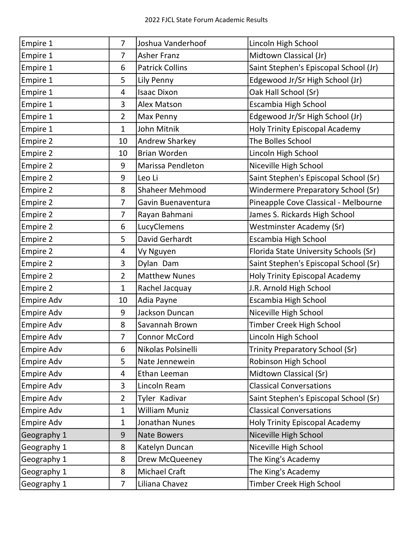| Empire 1          | $\overline{7}$ | Joshua Vanderhoof      | Lincoln High School                   |
|-------------------|----------------|------------------------|---------------------------------------|
| Empire 1          | $\overline{7}$ | <b>Asher Franz</b>     | Midtown Classical (Jr)                |
| Empire 1          | 6              | <b>Patrick Collins</b> | Saint Stephen's Episcopal School (Jr) |
| Empire 1          | 5              | Lily Penny             | Edgewood Jr/Sr High School (Jr)       |
| Empire 1          | 4              | <b>Isaac Dixon</b>     | Oak Hall School (Sr)                  |
| Empire 1          | 3              | Alex Matson            | Escambia High School                  |
| Empire 1          | $\overline{2}$ | Max Penny              | Edgewood Jr/Sr High School (Jr)       |
| Empire 1          | $\mathbf{1}$   | John Mitnik            | Holy Trinity Episcopal Academy        |
| Empire 2          | 10             | <b>Andrew Sharkey</b>  | The Bolles School                     |
| Empire 2          | 10             | <b>Brian Worden</b>    | Lincoln High School                   |
| Empire 2          | 9              | Marissa Pendleton      | Niceville High School                 |
| <b>Empire 2</b>   | 9              | Leo Li                 | Saint Stephen's Episcopal School (Sr) |
| Empire 2          | 8              | <b>Shaheer Mehmood</b> | Windermere Preparatory School (Sr)    |
| <b>Empire 2</b>   | $\overline{7}$ | Gavin Buenaventura     | Pineapple Cove Classical - Melbourne  |
| Empire 2          | $\overline{7}$ | Rayan Bahmani          | James S. Rickards High School         |
| <b>Empire 2</b>   | 6              | LucyClemens            | Westminster Academy (Sr)              |
| Empire 2          | 5              | David Gerhardt         | Escambia High School                  |
| <b>Empire 2</b>   | 4              | Vy Nguyen              | Florida State University Schools (Sr) |
| Empire 2          | 3              | Dylan Dam              | Saint Stephen's Episcopal School (Sr) |
| <b>Empire 2</b>   | $\overline{2}$ | <b>Matthew Nunes</b>   | <b>Holy Trinity Episcopal Academy</b> |
| Empire 2          | $\mathbf{1}$   | Rachel Jacquay         | J.R. Arnold High School               |
| Empire Adv        | 10             | Adia Payne             | Escambia High School                  |
| <b>Empire Adv</b> | 9              | Jackson Duncan         | Niceville High School                 |
| Empire Adv        | 8              | Savannah Brown         | Timber Creek High School              |
| Empire Adv        | 7              | Connor McCord          | Lincoln High School                   |
| <b>Empire Adv</b> | 6              | Nikolas Polsinelli     | Trinity Preparatory School (Sr)       |
| <b>Empire Adv</b> | 5              | Nate Jennewein         | Robinson High School                  |
| <b>Empire Adv</b> | 4              | Ethan Leeman           | Midtown Classical (Sr)                |
| <b>Empire Adv</b> | 3              | Lincoln Ream           | <b>Classical Conversations</b>        |
| <b>Empire Adv</b> | $\overline{2}$ | Tyler Kadivar          | Saint Stephen's Episcopal School (Sr) |
| <b>Empire Adv</b> | $\mathbf{1}$   | William Muniz          | <b>Classical Conversations</b>        |
| Empire Adv        | $\mathbf{1}$   | Jonathan Nunes         | <b>Holy Trinity Episcopal Academy</b> |
| Geography 1       | 9              | <b>Nate Bowers</b>     | Niceville High School                 |
| Geography 1       | 8              | Katelyn Duncan         | Niceville High School                 |
| Geography 1       | 8              | Drew McQueeney         | The King's Academy                    |
| Geography 1       | 8              | Michael Craft          | The King's Academy                    |
| Geography 1       | $\overline{7}$ | Liliana Chavez         | Timber Creek High School              |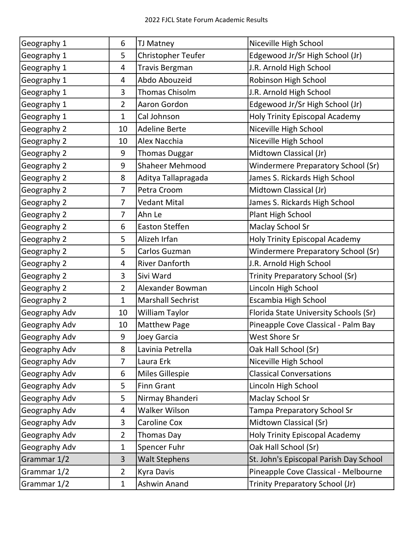| Geography 1   | 6              | TJ Matney                | Niceville High School                  |
|---------------|----------------|--------------------------|----------------------------------------|
| Geography 1   | 5              | Christopher Teufer       | Edgewood Jr/Sr High School (Jr)        |
| Geography 1   | 4              | <b>Travis Bergman</b>    | J.R. Arnold High School                |
| Geography 1   | 4              | Abdo Abouzeid            | Robinson High School                   |
| Geography 1   | 3              | Thomas Chisolm           | J.R. Arnold High School                |
| Geography 1   | $\overline{2}$ | Aaron Gordon             | Edgewood Jr/Sr High School (Jr)        |
| Geography 1   | $\mathbf{1}$   | Cal Johnson              | <b>Holy Trinity Episcopal Academy</b>  |
| Geography 2   | 10             | <b>Adeline Berte</b>     | Niceville High School                  |
| Geography 2   | 10             | Alex Nacchia             | Niceville High School                  |
| Geography 2   | 9              | <b>Thomas Duggar</b>     | Midtown Classical (Jr)                 |
| Geography 2   | 9              | <b>Shaheer Mehmood</b>   | Windermere Preparatory School (Sr)     |
| Geography 2   | 8              | Aditya Tallapragada      | James S. Rickards High School          |
| Geography 2   | $\overline{7}$ | Petra Croom              | Midtown Classical (Jr)                 |
| Geography 2   | $\overline{7}$ | <b>Vedant Mital</b>      | James S. Rickards High School          |
| Geography 2   | $\overline{7}$ | Ahn Le                   | Plant High School                      |
| Geography 2   | 6              | <b>Easton Steffen</b>    | Maclay School Sr                       |
| Geography 2   | 5              | Alizeh Irfan             | <b>Holy Trinity Episcopal Academy</b>  |
| Geography 2   | 5              | Carlos Guzman            | Windermere Preparatory School (Sr)     |
| Geography 2   | 4              | <b>River Danforth</b>    | J.R. Arnold High School                |
| Geography 2   | 3              | Sivi Ward                | Trinity Preparatory School (Sr)        |
| Geography 2   | $\overline{2}$ | Alexander Bowman         | Lincoln High School                    |
| Geography 2   | $\mathbf{1}$   | <b>Marshall Sechrist</b> | Escambia High School                   |
| Geography Adv | 10             | William Taylor           | Florida State University Schools (Sr)  |
| Geography Adv | 10             | <b>Matthew Page</b>      | Pineapple Cove Classical - Palm Bay    |
| Geography Adv | 9              | Joey Garcia              | West Shore Sr                          |
| Geography Adv | 8              | Lavinia Petrella         | Oak Hall School (Sr)                   |
| Geography Adv | 7              | Laura Erk                | Niceville High School                  |
| Geography Adv | 6              | <b>Miles Gillespie</b>   | <b>Classical Conversations</b>         |
| Geography Adv | 5              | <b>Finn Grant</b>        | Lincoln High School                    |
| Geography Adv | 5              | Nirmay Bhanderi          | Maclay School Sr                       |
| Geography Adv | 4              | <b>Walker Wilson</b>     | Tampa Preparatory School Sr            |
| Geography Adv | 3              | Caroline Cox             | Midtown Classical (Sr)                 |
| Geography Adv | $\overline{2}$ | Thomas Day               | <b>Holy Trinity Episcopal Academy</b>  |
| Geography Adv | $\mathbf{1}$   | Spencer Fuhr             | Oak Hall School (Sr)                   |
| Grammar 1/2   | $\overline{3}$ | <b>Walt Stephens</b>     | St. John's Episcopal Parish Day School |
| Grammar 1/2   | $\overline{2}$ | Kyra Davis               | Pineapple Cove Classical - Melbourne   |
| Grammar 1/2   | $\mathbf{1}$   | Ashwin Anand             | Trinity Preparatory School (Jr)        |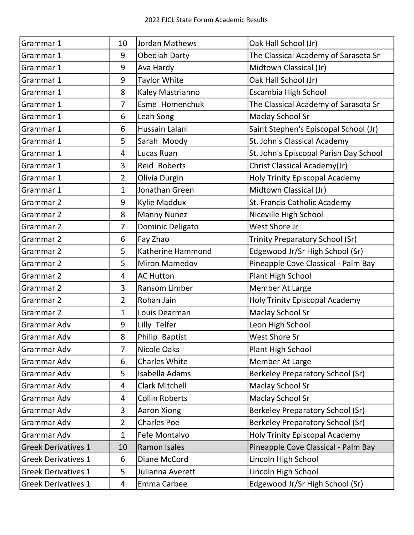| Grammar 1                  | 10             | Jordan Mathews        | Oak Hall School (Jr)                    |
|----------------------------|----------------|-----------------------|-----------------------------------------|
| Grammar 1                  | 9              | <b>Obediah Darty</b>  | The Classical Academy of Sarasota Sr    |
| Grammar 1                  | 9              | Ava Hardy             | Midtown Classical (Jr)                  |
| Grammar 1                  | 9              | <b>Taylor White</b>   | Oak Hall School (Jr)                    |
| Grammar 1                  | 8              | Kaley Mastrianno      | Escambia High School                    |
| Grammar 1                  | $\overline{7}$ | Esme Homenchuk        | The Classical Academy of Sarasota Sr    |
| Grammar 1                  | 6              | Leah Song             | <b>Maclay School Sr</b>                 |
| Grammar 1                  | 6              | Hussain Lalani        | Saint Stephen's Episcopal School (Jr)   |
| Grammar 1                  | 5              | Sarah Moody           | St. John's Classical Academy            |
| Grammar 1                  | $\overline{4}$ | Lucas Ruan            | St. John's Episcopal Parish Day School  |
| Grammar 1                  | 3              | <b>Reid Roberts</b>   | Christ Classical Academy(Jr)            |
| Grammar 1                  | $\overline{2}$ | Olivia Durgin         | <b>Holy Trinity Episcopal Academy</b>   |
| Grammar 1                  | $\mathbf{1}$   | Jonathan Green        | Midtown Classical (Jr)                  |
| Grammar 2                  | 9              | Kylie Maddux          | St. Francis Catholic Academy            |
| Grammar 2                  | 8              | <b>Manny Nunez</b>    | Niceville High School                   |
| Grammar 2                  | $\overline{7}$ | Dominic Deligato      | West Shore Jr                           |
| Grammar 2                  | 6              | Fay Zhao              | Trinity Preparatory School (Sr)         |
| Grammar 2                  | 5              | Katherine Hammond     | Edgewood Jr/Sr High School (Sr)         |
| Grammar 2                  | 5              | <b>Miron Mamedov</b>  | Pineapple Cove Classical - Palm Bay     |
| Grammar 2                  | $\overline{4}$ | <b>AC Hutton</b>      | Plant High School                       |
| Grammar 2                  | 3              | Ransom Limber         | Member At Large                         |
| Grammar 2                  | $\overline{2}$ | Rohan Jain            | <b>Holy Trinity Episcopal Academy</b>   |
| Grammar 2                  | $\mathbf{1}$   | Louis Dearman         | <b>Maclay School Sr</b>                 |
| Grammar Adv                | 9              | Lilly Telfer          | Leon High School                        |
| Grammar Adv                | 8              | Philip Baptist        | West Shore Sr                           |
| Grammar Adv                | $\overline{7}$ | <b>Nicole Oaks</b>    | Plant High School                       |
| Grammar Adv                | 6              | <b>Charles White</b>  | Member At Large                         |
| Grammar Adv                | 5              | Isabella Adams        | <b>Berkeley Preparatory School (Sr)</b> |
| Grammar Adv                | 4              | <b>Clark Mitchell</b> | <b>Maclay School Sr</b>                 |
| Grammar Adv                | 4              | <b>Collin Roberts</b> | <b>Maclay School Sr</b>                 |
| Grammar Adv                | 3              | Aaron Xiong           | Berkeley Preparatory School (Sr)        |
| Grammar Adv                | $\overline{2}$ | <b>Charles Poe</b>    | Berkeley Preparatory School (Sr)        |
| Grammar Adv                | $\mathbf{1}$   | Fefe Montalvo         | <b>Holy Trinity Episcopal Academy</b>   |
| <b>Greek Derivatives 1</b> | 10             | <b>Ramon Isales</b>   | Pineapple Cove Classical - Palm Bay     |
| <b>Greek Derivatives 1</b> | 6              | Diane McCord          | Lincoln High School                     |
| <b>Greek Derivatives 1</b> | 5              | Julianna Averett      | Lincoln High School                     |
| <b>Greek Derivatives 1</b> | 4              | Emma Carbee           | Edgewood Jr/Sr High School (Sr)         |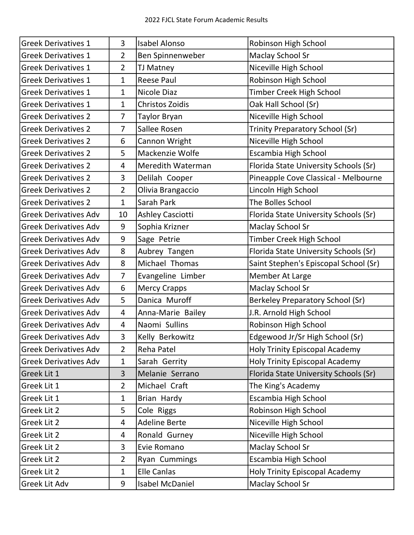| <b>Greek Derivatives 1</b>   | 3              | <b>Isabel Alonso</b>    | Robinson High School                  |
|------------------------------|----------------|-------------------------|---------------------------------------|
| <b>Greek Derivatives 1</b>   | $\overline{2}$ | Ben Spinnenweber        | <b>Maclay School Sr</b>               |
| <b>Greek Derivatives 1</b>   | $\overline{2}$ | <b>TJ Matney</b>        | Niceville High School                 |
| <b>Greek Derivatives 1</b>   | $\mathbf{1}$   | <b>Reese Paul</b>       | Robinson High School                  |
| <b>Greek Derivatives 1</b>   | $\mathbf{1}$   | Nicole Diaz             | <b>Timber Creek High School</b>       |
| <b>Greek Derivatives 1</b>   | $\mathbf{1}$   | <b>Christos Zoidis</b>  | Oak Hall School (Sr)                  |
| <b>Greek Derivatives 2</b>   | $\overline{7}$ | <b>Taylor Bryan</b>     | Niceville High School                 |
| <b>Greek Derivatives 2</b>   | $\overline{7}$ | Sallee Rosen            | Trinity Preparatory School (Sr)       |
| <b>Greek Derivatives 2</b>   | 6              | Cannon Wright           | Niceville High School                 |
| <b>Greek Derivatives 2</b>   | 5              | Mackenzie Wolfe         | Escambia High School                  |
| <b>Greek Derivatives 2</b>   | 4              | Meredith Waterman       | Florida State University Schools (Sr) |
| <b>Greek Derivatives 2</b>   | 3              | Delilah Cooper          | Pineapple Cove Classical - Melbourne  |
| <b>Greek Derivatives 2</b>   | $\overline{2}$ | Olivia Brangaccio       | Lincoln High School                   |
| <b>Greek Derivatives 2</b>   | $\mathbf{1}$   | Sarah Park              | The Bolles School                     |
| <b>Greek Derivatives Adv</b> | 10             | <b>Ashley Casciotti</b> | Florida State University Schools (Sr) |
| <b>Greek Derivatives Adv</b> | 9              | Sophia Krizner          | <b>Maclay School Sr</b>               |
| <b>Greek Derivatives Adv</b> | 9              | Sage Petrie             | Timber Creek High School              |
| <b>Greek Derivatives Adv</b> | 8              | Aubrey Tangen           | Florida State University Schools (Sr) |
| <b>Greek Derivatives Adv</b> | 8              | Michael Thomas          | Saint Stephen's Episcopal School (Sr) |
| <b>Greek Derivatives Adv</b> | 7              | Evangeline Limber       | Member At Large                       |
| <b>Greek Derivatives Adv</b> | 6              | <b>Mercy Crapps</b>     | <b>Maclay School Sr</b>               |
| <b>Greek Derivatives Adv</b> | 5              | Danica Muroff           | Berkeley Preparatory School (Sr)      |
| <b>Greek Derivatives Adv</b> | 4              | Anna-Marie Bailey       | J.R. Arnold High School               |
| <b>Greek Derivatives Adv</b> | 4              | Naomi Sullins           | Robinson High School                  |
| Greek Derivatives Adv        | 3              | Kelly Berkowitz         | Edgewood Jr/Sr High School (Sr)       |
| <b>Greek Derivatives Adv</b> | $\overline{2}$ | Reha Patel              | Holy Trinity Episcopal Academy        |
| <b>Greek Derivatives Adv</b> | 1              | Sarah Gerrity           | <b>Holy Trinity Episcopal Academy</b> |
| Greek Lit 1                  | 3              | Melanie Serrano         | Florida State University Schools (Sr) |
| Greek Lit 1                  | $\overline{2}$ | Michael Craft           | The King's Academy                    |
| Greek Lit 1                  | 1              | Brian Hardy             | Escambia High School                  |
| <b>Greek Lit 2</b>           | 5              | Cole Riggs              | Robinson High School                  |
| <b>Greek Lit 2</b>           | 4              | <b>Adeline Berte</b>    | Niceville High School                 |
| <b>Greek Lit 2</b>           | 4              | Ronald Gurney           | Niceville High School                 |
| Greek Lit 2                  | 3              | Evie Romano             | <b>Maclay School Sr</b>               |
| Greek Lit 2                  | $\overline{2}$ | <b>Ryan Cummings</b>    | Escambia High School                  |
| Greek Lit 2                  | $\mathbf 1$    | <b>Elle Canlas</b>      | Holy Trinity Episcopal Academy        |
| Greek Lit Adv                | 9              | Isabel McDaniel         | <b>Maclay School Sr</b>               |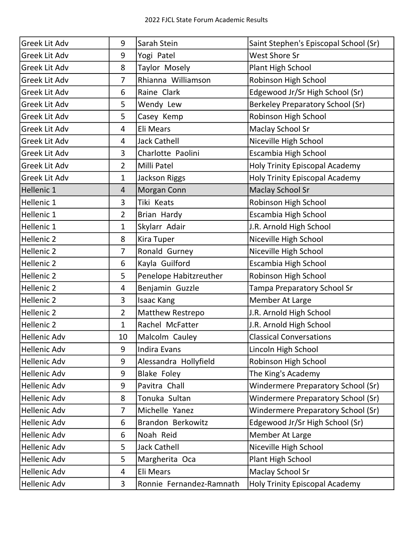| <b>Greek Lit Adv</b> | 9              | Sarah Stein              | Saint Stephen's Episcopal School (Sr)   |
|----------------------|----------------|--------------------------|-----------------------------------------|
| Greek Lit Adv        | 9              | Yogi Patel               | <b>West Shore Sr</b>                    |
| Greek Lit Adv        | 8              | Taylor Mosely            | Plant High School                       |
| <b>Greek Lit Adv</b> | 7              | Rhianna Williamson       | Robinson High School                    |
| Greek Lit Adv        | 6              | Raine Clark              | Edgewood Jr/Sr High School (Sr)         |
| <b>Greek Lit Adv</b> | 5              | Wendy Lew                | <b>Berkeley Preparatory School (Sr)</b> |
| <b>Greek Lit Adv</b> | 5              | Casey Kemp               | Robinson High School                    |
| <b>Greek Lit Adv</b> | 4              | Eli Mears                | <b>Maclay School Sr</b>                 |
| <b>Greek Lit Adv</b> | 4              | Jack Cathell             | Niceville High School                   |
| <b>Greek Lit Adv</b> | 3              | Charlotte Paolini        | Escambia High School                    |
| <b>Greek Lit Adv</b> | $\overline{2}$ | Milli Patel              | <b>Holy Trinity Episcopal Academy</b>   |
| <b>Greek Lit Adv</b> | $\mathbf{1}$   | Jackson Riggs            | Holy Trinity Episcopal Academy          |
| Hellenic 1           | $\overline{4}$ | <b>Morgan Conn</b>       | <b>Maclay School Sr</b>                 |
| Hellenic 1           | 3              | Tiki Keats               | Robinson High School                    |
| Hellenic 1           | $\overline{2}$ | Brian Hardy              | Escambia High School                    |
| Hellenic 1           | $\mathbf 1$    | Skylarr Adair            | J.R. Arnold High School                 |
| Hellenic 2           | 8              | Kira Tuper               | Niceville High School                   |
| Hellenic 2           | $\overline{7}$ | Ronald Gurney            | Niceville High School                   |
| Hellenic 2           | 6              | Kayla Guilford           | Escambia High School                    |
| Hellenic 2           | 5              | Penelope Habitzreuther   | Robinson High School                    |
| Hellenic 2           | 4              | Benjamin Guzzle          | Tampa Preparatory School Sr             |
| Hellenic 2           | 3              | <b>Isaac Kang</b>        | Member At Large                         |
| Hellenic 2           | $\overline{2}$ | <b>Matthew Restrepo</b>  | J.R. Arnold High School                 |
| Hellenic 2           | $\mathbf{1}$   | Rachel McFatter          | J.R. Arnold High School                 |
| Hellenic Adv         | 10             | Malcolm Cauley           | <b>Classical Conversations</b>          |
| <b>Hellenic Adv</b>  | 9              | <b>Indira Evans</b>      | Lincoln High School                     |
| <b>Hellenic Adv</b>  | 9              | Alessandra Hollyfield    | Robinson High School                    |
| <b>Hellenic Adv</b>  | 9              | Blake Foley              | The King's Academy                      |
| Hellenic Adv         | 9              | Pavitra Chall            | Windermere Preparatory School (Sr)      |
| <b>Hellenic Adv</b>  | 8              | Tonuka Sultan            | Windermere Preparatory School (Sr)      |
| Hellenic Adv         | 7              | Michelle Yanez           | Windermere Preparatory School (Sr)      |
| <b>Hellenic Adv</b>  | 6              | Brandon Berkowitz        | Edgewood Jr/Sr High School (Sr)         |
| Hellenic Adv         | 6              | Noah Reid                | Member At Large                         |
| <b>Hellenic Adv</b>  | 5              | <b>Jack Cathell</b>      | Niceville High School                   |
| <b>Hellenic Adv</b>  | 5              | Margherita Oca           | Plant High School                       |
| <b>Hellenic Adv</b>  | 4              | <b>Eli Mears</b>         | <b>Maclay School Sr</b>                 |
| <b>Hellenic Adv</b>  | 3              | Ronnie Fernandez-Ramnath | <b>Holy Trinity Episcopal Academy</b>   |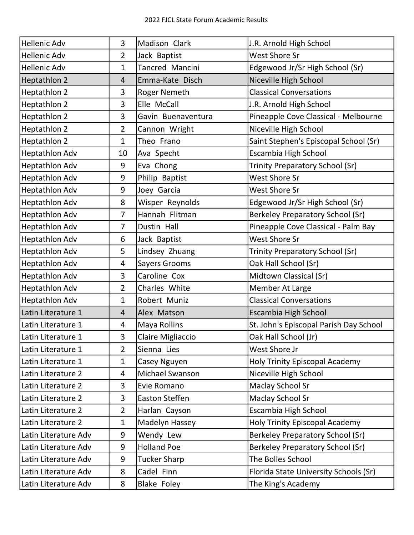| <b>Hellenic Adv</b>   | $\overline{3}$ | Madison Clark       | J.R. Arnold High School                 |
|-----------------------|----------------|---------------------|-----------------------------------------|
| <b>Hellenic Adv</b>   | $\overline{2}$ | Jack Baptist        | <b>West Shore Sr</b>                    |
| <b>Hellenic Adv</b>   | $\mathbf{1}$   | Tancred Mancini     | Edgewood Jr/Sr High School (Sr)         |
| Heptathlon 2          | 4              | Emma-Kate Disch     | Niceville High School                   |
| Heptathlon 2          | 3              | <b>Roger Nemeth</b> | <b>Classical Conversations</b>          |
| Heptathlon 2          | 3              | Elle McCall         | J.R. Arnold High School                 |
| Heptathlon 2          | 3              | Gavin Buenaventura  | Pineapple Cove Classical - Melbourne    |
| Heptathlon 2          | $\overline{2}$ | Cannon Wright       | Niceville High School                   |
| Heptathlon 2          | $\mathbf{1}$   | Theo Frano          | Saint Stephen's Episcopal School (Sr)   |
| <b>Heptathlon Adv</b> | 10             | Ava Specht          | Escambia High School                    |
| <b>Heptathlon Adv</b> | 9              | Eva Chong           | <b>Trinity Preparatory School (Sr)</b>  |
| <b>Heptathlon Adv</b> | 9              | Philip Baptist      | <b>West Shore Sr</b>                    |
| <b>Heptathlon Adv</b> | 9              | Joey Garcia         | <b>West Shore Sr</b>                    |
| <b>Heptathlon Adv</b> | 8              | Wisper Reynolds     | Edgewood Jr/Sr High School (Sr)         |
| <b>Heptathlon Adv</b> | $\overline{7}$ | Hannah Flitman      | Berkeley Preparatory School (Sr)        |
| <b>Heptathlon Adv</b> | 7              | Dustin Hall         | Pineapple Cove Classical - Palm Bay     |
| <b>Heptathlon Adv</b> | 6              | Jack Baptist        | <b>West Shore Sr</b>                    |
| <b>Heptathlon Adv</b> | 5              | Lindsey Zhuang      | <b>Trinity Preparatory School (Sr)</b>  |
| <b>Heptathlon Adv</b> | 4              | Sayers Grooms       | Oak Hall School (Sr)                    |
| <b>Heptathlon Adv</b> | 3              | Caroline Cox        | Midtown Classical (Sr)                  |
| <b>Heptathlon Adv</b> | $\overline{2}$ | Charles White       | Member At Large                         |
| <b>Heptathlon Adv</b> | 1              | Robert Muniz        | <b>Classical Conversations</b>          |
| Latin Literature 1    | 4              | Alex Matson         | Escambia High School                    |
| Latin Literature 1    | 4              | Maya Rollins        | St. John's Episcopal Parish Day School  |
| Latin Literature 1    | 3              | Claire Migliaccio   | Oak Hall School (Jr)                    |
| Latin Literature 1    | $\overline{2}$ | Sienna Lies         | West Shore Jr                           |
| Latin Literature 1    | $\mathbf{1}$   | Casey Nguyen        | Holy Trinity Episcopal Academy          |
| Latin Literature 2    | 4              | Michael Swanson     | Niceville High School                   |
| Latin Literature 2    | 3              | Evie Romano         | Maclay School Sr                        |
| Latin Literature 2    | 3              | Easton Steffen      | Maclay School Sr                        |
| Latin Literature 2    | $\overline{2}$ | Harlan Cayson       | Escambia High School                    |
| Latin Literature 2    | $\mathbf{1}$   | Madelyn Hassey      | <b>Holy Trinity Episcopal Academy</b>   |
| Latin Literature Adv  | 9              | Wendy Lew           | <b>Berkeley Preparatory School (Sr)</b> |
| Latin Literature Adv  | 9              | <b>Holland Poe</b>  | <b>Berkeley Preparatory School (Sr)</b> |
| Latin Literature Adv  | 9              | <b>Tucker Sharp</b> | The Bolles School                       |
| Latin Literature Adv  | 8              | Cadel Finn          | Florida State University Schools (Sr)   |
| Latin Literature Adv  | 8              | <b>Blake Foley</b>  | The King's Academy                      |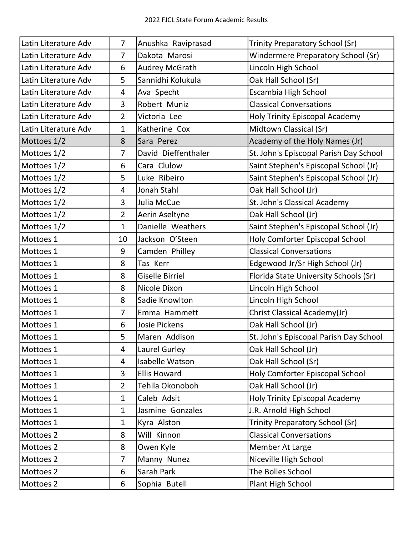| Latin Literature Adv | $\overline{7}$ | Anushka Raviprasad     | <b>Trinity Preparatory School (Sr)</b> |
|----------------------|----------------|------------------------|----------------------------------------|
| Latin Literature Adv | $\overline{7}$ | Dakota Marosi          | Windermere Preparatory School (Sr)     |
| Latin Literature Adv | 6              | <b>Audrey McGrath</b>  | Lincoln High School                    |
| Latin Literature Adv | 5              | Sannidhi Kolukula      | Oak Hall School (Sr)                   |
| Latin Literature Adv | 4              | Ava Specht             | Escambia High School                   |
| Latin Literature Adv | 3              | Robert Muniz           | <b>Classical Conversations</b>         |
| Latin Literature Adv | $\overline{2}$ | Victoria Lee           | <b>Holy Trinity Episcopal Academy</b>  |
| Latin Literature Adv | $\mathbf{1}$   | Katherine Cox          | Midtown Classical (Sr)                 |
| Mottoes 1/2          | 8              | Sara Perez             | Academy of the Holy Names (Jr)         |
| Mottoes 1/2          | $\overline{7}$ | David Dieffenthaler    | St. John's Episcopal Parish Day School |
| Mottoes 1/2          | 6              | Cara Clulow            | Saint Stephen's Episcopal School (Jr)  |
| Mottoes 1/2          | 5              | Luke Ribeiro           | Saint Stephen's Episcopal School (Jr)  |
| Mottoes 1/2          | 4              | Jonah Stahl            | Oak Hall School (Jr)                   |
| Mottoes 1/2          | 3              | Julia McCue            | St. John's Classical Academy           |
| Mottoes 1/2          | $\overline{2}$ | Aerin Aseltyne         | Oak Hall School (Jr)                   |
| Mottoes 1/2          | $\mathbf{1}$   | Danielle Weathers      | Saint Stephen's Episcopal School (Jr)  |
| Mottoes 1            | 10             | Jackson O'Steen        | Holy Comforter Episcopal School        |
| Mottoes 1            | 9              | Camden Philley         | <b>Classical Conversations</b>         |
| Mottoes 1            | 8              | Tas Kerr               | Edgewood Jr/Sr High School (Jr)        |
| Mottoes 1            | 8              | <b>Giselle Birriel</b> | Florida State University Schools (Sr)  |
| Mottoes 1            | 8              | Nicole Dixon           | Lincoln High School                    |
| Mottoes 1            | 8              | Sadie Knowlton         | Lincoln High School                    |
| Mottoes 1            | $\overline{7}$ | Emma Hammett           | Christ Classical Academy(Jr)           |
| Mottoes 1            | 6              | <b>Josie Pickens</b>   | Oak Hall School (Jr)                   |
| Mottoes 1            | 5              | Maren Addison          | St. John's Episcopal Parish Day School |
| Mottoes 1            | 4              | Laurel Gurley          | Oak Hall School (Jr)                   |
| Mottoes 1            | 4              | Isabelle Watson        | Oak Hall School (Sr)                   |
| Mottoes 1            | 3              | <b>Ellis Howard</b>    | Holy Comforter Episcopal School        |
| Mottoes 1            | $\overline{2}$ | Tehila Okonoboh        | Oak Hall School (Jr)                   |
| Mottoes 1            | $\mathbf{1}$   | Caleb Adsit            | Holy Trinity Episcopal Academy         |
| Mottoes 1            | $\mathbf{1}$   | Jasmine Gonzales       | J.R. Arnold High School                |
| Mottoes 1            | $\mathbf{1}$   | Kyra Alston            | Trinity Preparatory School (Sr)        |
| Mottoes 2            | 8              | Will Kinnon            | <b>Classical Conversations</b>         |
| Mottoes 2            | 8              | Owen Kyle              | Member At Large                        |
| Mottoes 2            | $\overline{7}$ | Manny Nunez            | Niceville High School                  |
| Mottoes 2            | 6              | Sarah Park             | The Bolles School                      |
| Mottoes 2            | 6              | Sophia Butell          | Plant High School                      |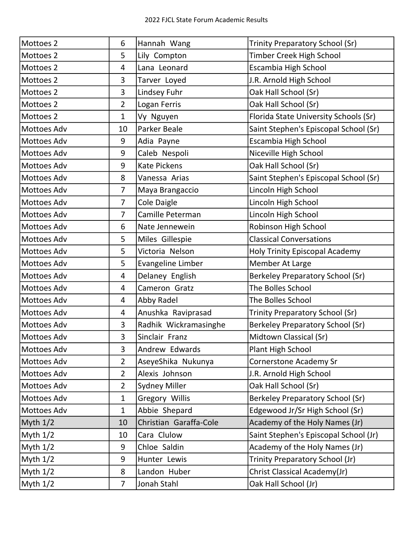| Mottoes 2          | 6              | Hannah Wang            | Trinity Preparatory School (Sr)       |
|--------------------|----------------|------------------------|---------------------------------------|
| Mottoes 2          | 5              | Lily Compton           | Timber Creek High School              |
| Mottoes 2          | 4              | Lana Leonard           | Escambia High School                  |
| Mottoes 2          | 3              | Tarver Loyed           | J.R. Arnold High School               |
| Mottoes 2          | 3              | Lindsey Fuhr           | Oak Hall School (Sr)                  |
| Mottoes 2          | $\overline{2}$ | Logan Ferris           | Oak Hall School (Sr)                  |
| Mottoes 2          | $\mathbf{1}$   | Vy Nguyen              | Florida State University Schools (Sr) |
| Mottoes Adv        | 10             | Parker Beale           | Saint Stephen's Episcopal School (Sr) |
| Mottoes Adv        | 9              | Adia Payne             | Escambia High School                  |
| Mottoes Adv        | 9              | Caleb Nespoli          | Niceville High School                 |
| Mottoes Adv        | 9              | <b>Kate Pickens</b>    | Oak Hall School (Sr)                  |
| Mottoes Adv        | 8              | Vanessa Arias          | Saint Stephen's Episcopal School (Sr) |
| Mottoes Adv        | $\overline{7}$ | Maya Brangaccio        | Lincoln High School                   |
| Mottoes Adv        | $\overline{7}$ | Cole Daigle            | Lincoln High School                   |
| <b>Mottoes Adv</b> | $\overline{7}$ | Camille Peterman       | Lincoln High School                   |
| Mottoes Adv        | 6              | Nate Jennewein         | Robinson High School                  |
| Mottoes Adv        | 5              | Miles Gillespie        | <b>Classical Conversations</b>        |
| Mottoes Adv        | 5              | Victoria Nelson        | <b>Holy Trinity Episcopal Academy</b> |
| Mottoes Adv        | 5              | Evangeline Limber      | Member At Large                       |
| Mottoes Adv        | 4              | Delaney English        | Berkeley Preparatory School (Sr)      |
| <b>Mottoes Adv</b> | 4              | Cameron Gratz          | The Bolles School                     |
| <b>Mottoes Adv</b> | 4              | Abby Radel             | The Bolles School                     |
| <b>Mottoes Adv</b> | 4              | Anushka Raviprasad     | Trinity Preparatory School (Sr)       |
| <b>Mottoes Adv</b> | 3              | Radhik Wickramasinghe  | Berkeley Preparatory School (Sr)      |
| Mottoes Adv        | 3              | Sinclair Franz         | Midtown Classical (Sr)                |
| <b>Mottoes Adv</b> | 3              | Andrew Edwards         | Plant High School                     |
| Mottoes Adv        | $\overline{2}$ | AseyeShika Nukunya     | <b>Cornerstone Academy Sr</b>         |
| Mottoes Adv        | $\overline{2}$ | Alexis Johnson         | J.R. Arnold High School               |
| Mottoes Adv        | $\overline{2}$ | <b>Sydney Miller</b>   | Oak Hall School (Sr)                  |
| <b>Mottoes Adv</b> | $\mathbf{1}$   | Gregory Willis         | Berkeley Preparatory School (Sr)      |
| Mottoes Adv        | $\mathbf{1}$   | Abbie Shepard          | Edgewood Jr/Sr High School (Sr)       |
| Myth $1/2$         | 10             | Christian Garaffa-Cole | Academy of the Holy Names (Jr)        |
| Myth $1/2$         | 10             | Cara Clulow            | Saint Stephen's Episcopal School (Jr) |
| Myth $1/2$         | 9              | Chloe Saldin           | Academy of the Holy Names (Jr)        |
| Myth $1/2$         | 9              | Hunter Lewis           | Trinity Preparatory School (Jr)       |
| Myth $1/2$         | 8              | Landon Huber           | Christ Classical Academy(Jr)          |
| Myth 1/2           | $\overline{7}$ | Jonah Stahl            | Oak Hall School (Jr)                  |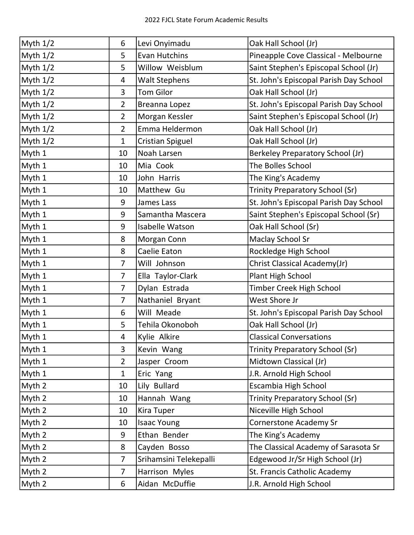| Myth 1/2   | 6              | Levi Onyimadu           | Oak Hall School (Jr)                   |
|------------|----------------|-------------------------|----------------------------------------|
| Myth 1/2   | 5              | <b>Evan Hutchins</b>    | Pineapple Cove Classical - Melbourne   |
| Myth 1/2   | 5              | Willow Weisblum         | Saint Stephen's Episcopal School (Jr)  |
| Myth $1/2$ | 4              | <b>Walt Stephens</b>    | St. John's Episcopal Parish Day School |
| Myth $1/2$ | 3              | <b>Tom Gilor</b>        | Oak Hall School (Jr)                   |
| Myth $1/2$ | $\overline{2}$ | Breanna Lopez           | St. John's Episcopal Parish Day School |
| Myth $1/2$ | $\overline{2}$ | Morgan Kessler          | Saint Stephen's Episcopal School (Jr)  |
| Myth $1/2$ | $\overline{2}$ | Emma Heldermon          | Oak Hall School (Jr)                   |
| Myth $1/2$ | $\mathbf{1}$   | <b>Cristian Spiguel</b> | Oak Hall School (Jr)                   |
| Myth 1     | 10             | Noah Larsen             | Berkeley Preparatory School (Jr)       |
| Myth 1     | 10             | Mia Cook                | The Bolles School                      |
| Myth 1     | 10             | John Harris             | The King's Academy                     |
| Myth 1     | 10             | Matthew Gu              | <b>Trinity Preparatory School (Sr)</b> |
| Myth 1     | 9              | James Lass              | St. John's Episcopal Parish Day School |
| Myth 1     | 9              | Samantha Mascera        | Saint Stephen's Episcopal School (Sr)  |
| Myth 1     | 9              | <b>Isabelle Watson</b>  | Oak Hall School (Sr)                   |
| Myth 1     | 8              | Morgan Conn             | <b>Maclay School Sr</b>                |
| Myth 1     | 8              | Caelie Eaton            | Rockledge High School                  |
| Myth 1     | 7              | Will Johnson            | Christ Classical Academy(Jr)           |
| Myth 1     | $\overline{7}$ | Ella Taylor-Clark       | Plant High School                      |
| Myth 1     | 7              | Dylan Estrada           | Timber Creek High School               |
| Myth 1     | $\overline{7}$ | Nathaniel Bryant        | West Shore Jr                          |
| Myth 1     | 6              | Will Meade              | St. John's Episcopal Parish Day School |
| Myth 1     | 5              | Tehila Okonoboh         | Oak Hall School (Jr)                   |
| Myth 1     | 4              | Kylie Alkire            | <b>Classical Conversations</b>         |
| Myth 1     | 3              | Kevin Wang              | Trinity Preparatory School (Sr)        |
| Myth 1     | $\overline{2}$ | Jasper Croom            | Midtown Classical (Jr)                 |
| Myth 1     | $\mathbf{1}$   | Eric Yang               | J.R. Arnold High School                |
| Myth 2     | 10             | Lily Bullard            | Escambia High School                   |
| Myth 2     | 10             | Hannah Wang             | <b>Trinity Preparatory School (Sr)</b> |
| Myth 2     | 10             | Kira Tuper              | Niceville High School                  |
| Myth 2     | 10             | <b>Isaac Young</b>      | <b>Cornerstone Academy Sr</b>          |
| Myth 2     | 9              | Ethan Bender            | The King's Academy                     |
| Myth 2     | 8              | Cayden Bosso            | The Classical Academy of Sarasota Sr   |
| Myth 2     | 7              | Srihamsini Telekepalli  | Edgewood Jr/Sr High School (Jr)        |
| Myth 2     | $\overline{7}$ | Harrison Myles          | St. Francis Catholic Academy           |
| Myth 2     | 6              | Aidan McDuffie          | J.R. Arnold High School                |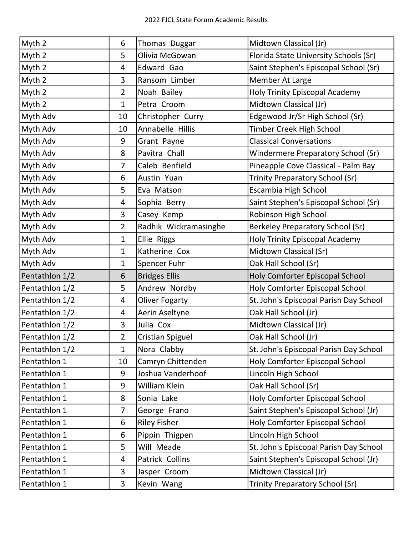| Myth 2         | 6              | Thomas Duggar         | Midtown Classical (Jr)                 |
|----------------|----------------|-----------------------|----------------------------------------|
| Myth 2         | 5              | Olivia McGowan        | Florida State University Schools (Sr)  |
| Myth 2         | 4              | Edward Gao            | Saint Stephen's Episcopal School (Sr)  |
| Myth 2         | 3              | Ransom Limber         | Member At Large                        |
| Myth 2         | $\overline{2}$ | Noah Bailey           | Holy Trinity Episcopal Academy         |
| Myth 2         | $\mathbf{1}$   | Petra Croom           | Midtown Classical (Jr)                 |
| Myth Adv       | 10             | Christopher Curry     | Edgewood Jr/Sr High School (Sr)        |
| Myth Adv       | 10             | Annabelle Hillis      | Timber Creek High School               |
| Myth Adv       | 9              | Grant Payne           | <b>Classical Conversations</b>         |
| Myth Adv       | 8              | Pavitra Chall         | Windermere Preparatory School (Sr)     |
| Myth Adv       | 7              | Caleb Benfield        | Pineapple Cove Classical - Palm Bay    |
| Myth Adv       | 6              | Austin Yuan           | <b>Trinity Preparatory School (Sr)</b> |
| Myth Adv       | 5              | Eva Matson            | Escambia High School                   |
| Myth Adv       | 4              | Sophia Berry          | Saint Stephen's Episcopal School (Sr)  |
| Myth Adv       | 3              | Casey Kemp            | Robinson High School                   |
| Myth Adv       | $\overline{2}$ | Radhik Wickramasinghe | Berkeley Preparatory School (Sr)       |
| Myth Adv       | $\mathbf{1}$   | <b>Ellie Riggs</b>    | Holy Trinity Episcopal Academy         |
| Myth Adv       | $\mathbf{1}$   | Katherine Cox         | Midtown Classical (Sr)                 |
| Myth Adv       | $\mathbf{1}$   | Spencer Fuhr          | Oak Hall School (Sr)                   |
| Pentathlon 1/2 | 6              | <b>Bridges Ellis</b>  | Holy Comforter Episcopal School        |
| Pentathlon 1/2 | 5              | Andrew Nordby         | Holy Comforter Episcopal School        |
| Pentathlon 1/2 | 4              | <b>Oliver Fogarty</b> | St. John's Episcopal Parish Day School |
| Pentathlon 1/2 | 4              | Aerin Aseltyne        | Oak Hall School (Jr)                   |
| Pentathlon 1/2 | 3              | Julia Cox             | Midtown Classical (Jr)                 |
| Pentathlon 1/2 | $\overline{2}$ | Cristian Spiguel      | Oak Hall School (Jr)                   |
| Pentathlon 1/2 | $\mathbf{1}$   | Nora Clabby           | St. John's Episcopal Parish Day School |
| Pentathlon 1   | 10             | Camryn Chittenden     | Holy Comforter Episcopal School        |
| Pentathlon 1   | 9              | Joshua Vanderhoof     | Lincoln High School                    |
| Pentathlon 1   | 9              | William Klein         | Oak Hall School (Sr)                   |
| Pentathlon 1   | 8              | Sonia Lake            | Holy Comforter Episcopal School        |
| Pentathlon 1   | 7              | George Frano          | Saint Stephen's Episcopal School (Jr)  |
| Pentathlon 1   | 6              | <b>Riley Fisher</b>   | Holy Comforter Episcopal School        |
| Pentathlon 1   | 6              | Pippin Thigpen        | Lincoln High School                    |
| Pentathlon 1   | 5              | Will Meade            | St. John's Episcopal Parish Day School |
| Pentathlon 1   | 4              | Patrick Collins       | Saint Stephen's Episcopal School (Jr)  |
| Pentathlon 1   | 3              | Jasper Croom          | Midtown Classical (Jr)                 |
| Pentathlon 1   | $\overline{3}$ | Kevin Wang            | <b>Trinity Preparatory School (Sr)</b> |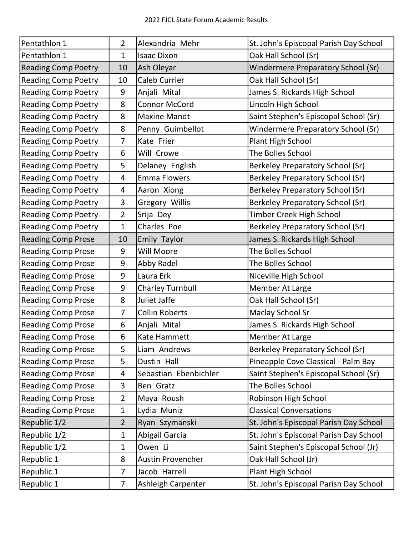| Pentathlon 1               | $\overline{2}$ | Alexandria Mehr          | St. John's Episcopal Parish Day School    |
|----------------------------|----------------|--------------------------|-------------------------------------------|
| Pentathlon 1               | 1              | <b>Isaac Dixon</b>       | Oak Hall School (Sr)                      |
| <b>Reading Comp Poetry</b> | 10             | Ash Oleyar               | <b>Windermere Preparatory School (Sr)</b> |
| <b>Reading Comp Poetry</b> | 10             | <b>Caleb Currier</b>     | Oak Hall School (Sr)                      |
| <b>Reading Comp Poetry</b> | 9              | Anjali Mital             | James S. Rickards High School             |
| <b>Reading Comp Poetry</b> | 8              | <b>Connor McCord</b>     | Lincoln High School                       |
| <b>Reading Comp Poetry</b> | 8              | <b>Maxine Mandt</b>      | Saint Stephen's Episcopal School (Sr)     |
| <b>Reading Comp Poetry</b> | 8              | Penny Guimbellot         | Windermere Preparatory School (Sr)        |
| <b>Reading Comp Poetry</b> | $\overline{7}$ | Kate Frier               | Plant High School                         |
| <b>Reading Comp Poetry</b> | 6              | Will Crowe               | The Bolles School                         |
| <b>Reading Comp Poetry</b> | 5              | Delaney English          | Berkeley Preparatory School (Sr)          |
| <b>Reading Comp Poetry</b> | 4              | <b>Emma Flowers</b>      | Berkeley Preparatory School (Sr)          |
| <b>Reading Comp Poetry</b> | 4              | Aaron Xiong              | <b>Berkeley Preparatory School (Sr)</b>   |
| <b>Reading Comp Poetry</b> | 3              | Gregory Willis           | <b>Berkeley Preparatory School (Sr)</b>   |
| <b>Reading Comp Poetry</b> | $\overline{2}$ | Srija Dey                | <b>Timber Creek High School</b>           |
| <b>Reading Comp Poetry</b> | $\mathbf{1}$   | Charles Poe              | <b>Berkeley Preparatory School (Sr)</b>   |
| <b>Reading Comp Prose</b>  | 10             | <b>Emily Taylor</b>      | James S. Rickards High School             |
| <b>Reading Comp Prose</b>  | 9              | <b>Will Moore</b>        | The Bolles School                         |
| <b>Reading Comp Prose</b>  | 9              | Abby Radel               | The Bolles School                         |
| <b>Reading Comp Prose</b>  | 9              | Laura Erk                | Niceville High School                     |
| <b>Reading Comp Prose</b>  | 9              | <b>Charley Turnbull</b>  | Member At Large                           |
| <b>Reading Comp Prose</b>  | 8              | Juliet Jaffe             | Oak Hall School (Sr)                      |
| <b>Reading Comp Prose</b>  | $\overline{7}$ | <b>Collin Roberts</b>    | <b>Maclay School Sr</b>                   |
| <b>Reading Comp Prose</b>  | 6              | Anjali Mital             | James S. Rickards High School             |
| <b>Reading Comp Prose</b>  | 6              | Kate Hammett             | Member At Large                           |
| <b>Reading Comp Prose</b>  | 5              | Liam Andrews             | Berkeley Preparatory School (Sr)          |
| <b>Reading Comp Prose</b>  | 5              | Dustin Hall              | Pineapple Cove Classical - Palm Bay       |
| <b>Reading Comp Prose</b>  | 4              | Sebastian Ebenbichler    | Saint Stephen's Episcopal School (Sr)     |
| <b>Reading Comp Prose</b>  | 3              | Ben Gratz                | The Bolles School                         |
| <b>Reading Comp Prose</b>  | $\overline{2}$ | Maya Roush               | Robinson High School                      |
| <b>Reading Comp Prose</b>  | $\mathbf{1}$   | Lydia Muniz              | <b>Classical Conversations</b>            |
| Republic 1/2               | $\overline{2}$ | Ryan Szymanski           | St. John's Episcopal Parish Day School    |
| Republic 1/2               | $\mathbf{1}$   | Abigail Garcia           | St. John's Episcopal Parish Day School    |
| Republic 1/2               | 1              | Owen Li                  | Saint Stephen's Episcopal School (Jr)     |
| Republic 1                 | 8              | <b>Austin Provencher</b> | Oak Hall School (Jr)                      |
| Republic 1                 | 7              | Jacob Harrell            | Plant High School                         |
| Republic 1                 | $\overline{7}$ | Ashleigh Carpenter       | St. John's Episcopal Parish Day School    |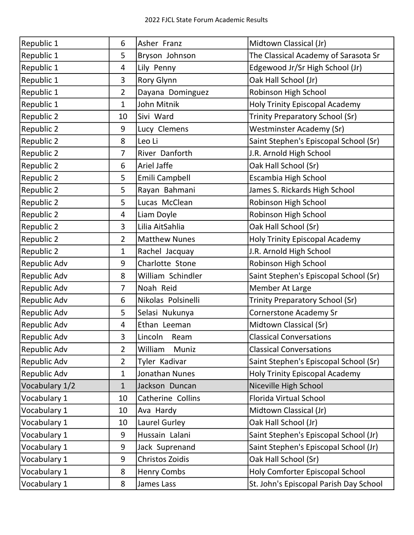| Republic 1     | 6              | Asher Franz            | Midtown Classical (Jr)                 |
|----------------|----------------|------------------------|----------------------------------------|
| Republic 1     | 5              | Bryson Johnson         | The Classical Academy of Sarasota Sr   |
| Republic 1     | 4              | Lily Penny             | Edgewood Jr/Sr High School (Jr)        |
| Republic 1     | 3              | Rory Glynn             | Oak Hall School (Jr)                   |
| Republic 1     | $\overline{2}$ | Dayana Dominguez       | Robinson High School                   |
| Republic 1     | $\mathbf{1}$   | John Mitnik            | <b>Holy Trinity Episcopal Academy</b>  |
| Republic 2     | 10             | Sivi Ward              | Trinity Preparatory School (Sr)        |
| Republic 2     | 9              | Lucy Clemens           | Westminster Academy (Sr)               |
| Republic 2     | 8              | Leo Li                 | Saint Stephen's Episcopal School (Sr)  |
| Republic 2     | $\overline{7}$ | River Danforth         | J.R. Arnold High School                |
| Republic 2     | 6              | Ariel Jaffe            | Oak Hall School (Sr)                   |
| Republic 2     | 5              | Emili Campbell         | Escambia High School                   |
| Republic 2     | 5              | Rayan Bahmani          | James S. Rickards High School          |
| Republic 2     | 5              | Lucas McClean          | Robinson High School                   |
| Republic 2     | $\overline{4}$ | Liam Doyle             | Robinson High School                   |
| Republic 2     | 3              | Lilia AitSahlia        | Oak Hall School (Sr)                   |
| Republic 2     | $\overline{2}$ | <b>Matthew Nunes</b>   | <b>Holy Trinity Episcopal Academy</b>  |
| Republic 2     | $\mathbf{1}$   | Rachel Jacquay         | J.R. Arnold High School                |
| Republic Adv   | 9              | Charlotte Stone        | Robinson High School                   |
| Republic Adv   | 8              | William Schindler      | Saint Stephen's Episcopal School (Sr)  |
| Republic Adv   | 7              | Noah Reid              | Member At Large                        |
| Republic Adv   | 6              | Nikolas Polsinelli     | Trinity Preparatory School (Sr)        |
| Republic Adv   | 5              | Selasi Nukunya         | <b>Cornerstone Academy Sr</b>          |
| Republic Adv   | 4              | Ethan Leeman           | Midtown Classical (Sr)                 |
| Republic Adv   | 3              | Lincoln<br>Ream        | <b>Classical Conversations</b>         |
| Republic Adv   | $\overline{2}$ | William<br>Muniz       | <b>Classical Conversations</b>         |
| Republic Adv   | $\overline{2}$ | Tyler Kadivar          | Saint Stephen's Episcopal School (Sr)  |
| Republic Adv   | $\mathbf{1}$   | Jonathan Nunes         | <b>Holy Trinity Episcopal Academy</b>  |
| Vocabulary 1/2 | $\mathbf{1}$   | Jackson Duncan         | Niceville High School                  |
| Vocabulary 1   | 10             | Catherine Collins      | Florida Virtual School                 |
| Vocabulary 1   | 10             | Ava Hardy              | Midtown Classical (Jr)                 |
| Vocabulary 1   | 10             | Laurel Gurley          | Oak Hall School (Jr)                   |
| Vocabulary 1   | 9              | Hussain Lalani         | Saint Stephen's Episcopal School (Jr)  |
| Vocabulary 1   | 9              | Jack Suprenand         | Saint Stephen's Episcopal School (Jr)  |
| Vocabulary 1   | 9              | <b>Christos Zoidis</b> | Oak Hall School (Sr)                   |
| Vocabulary 1   | 8              | <b>Henry Combs</b>     | Holy Comforter Episcopal School        |
| Vocabulary 1   | 8              | James Lass             | St. John's Episcopal Parish Day School |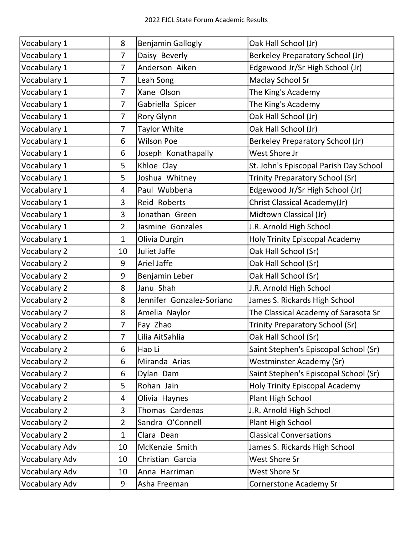| Vocabulary 1   | 8              | <b>Benjamin Gallogly</b>  | Oak Hall School (Jr)                   |
|----------------|----------------|---------------------------|----------------------------------------|
| Vocabulary 1   | $\overline{7}$ | Daisy Beverly             | Berkeley Preparatory School (Jr)       |
| Vocabulary 1   | $\overline{7}$ | Anderson Aiken            | Edgewood Jr/Sr High School (Jr)        |
| Vocabulary 1   | $\overline{7}$ | Leah Song                 | <b>Maclay School Sr</b>                |
| Vocabulary 1   | $\overline{7}$ | Xane Olson                | The King's Academy                     |
| Vocabulary 1   | $\overline{7}$ | Gabriella Spicer          | The King's Academy                     |
| Vocabulary 1   | $\overline{7}$ | Rory Glynn                | Oak Hall School (Jr)                   |
| Vocabulary 1   | $\overline{7}$ | <b>Taylor White</b>       | Oak Hall School (Jr)                   |
| Vocabulary 1   | 6              | <b>Wilson Poe</b>         | Berkeley Preparatory School (Jr)       |
| Vocabulary 1   | 6              | Joseph Konathapally       | West Shore Jr                          |
| Vocabulary 1   | 5              | Khloe Clay                | St. John's Episcopal Parish Day School |
| Vocabulary 1   | 5              | Joshua Whitney            | Trinity Preparatory School (Sr)        |
| Vocabulary 1   | 4              | Paul Wubbena              | Edgewood Jr/Sr High School (Jr)        |
| Vocabulary 1   | 3              | Reid Roberts              | Christ Classical Academy(Jr)           |
| Vocabulary 1   | 3              | Jonathan Green            | Midtown Classical (Jr)                 |
| Vocabulary 1   | $\overline{2}$ | Jasmine Gonzales          | J.R. Arnold High School                |
| Vocabulary 1   | $\mathbf{1}$   | Olivia Durgin             | <b>Holy Trinity Episcopal Academy</b>  |
| Vocabulary 2   | 10             | Juliet Jaffe              | Oak Hall School (Sr)                   |
| Vocabulary 2   | 9              | Ariel Jaffe               | Oak Hall School (Sr)                   |
| Vocabulary 2   | 9              | Benjamin Leber            | Oak Hall School (Sr)                   |
| Vocabulary 2   | 8              | Janu Shah                 | J.R. Arnold High School                |
| Vocabulary 2   | 8              | Jennifer Gonzalez-Soriano | James S. Rickards High School          |
| Vocabulary 2   | 8              | Amelia Naylor             | The Classical Academy of Sarasota Sr   |
| Vocabulary 2   | 7              | Fay Zhao                  | Trinity Preparatory School (Sr)        |
| Vocabulary 2   | 7              | Lilia AitSahlia           | Oak Hall School (Sr)                   |
| Vocabulary 2   | 6              | Hao Li                    | Saint Stephen's Episcopal School (Sr)  |
| Vocabulary 2   | 6              | Miranda Arias             | <b>Westminster Academy (Sr)</b>        |
| Vocabulary 2   | 6              | Dylan Dam                 | Saint Stephen's Episcopal School (Sr)  |
| Vocabulary 2   | 5              | Rohan Jain                | <b>Holy Trinity Episcopal Academy</b>  |
| Vocabulary 2   | 4              | Olivia Haynes             | Plant High School                      |
| Vocabulary 2   | 3              | Thomas Cardenas           | J.R. Arnold High School                |
| Vocabulary 2   | $\overline{2}$ | Sandra O'Connell          | Plant High School                      |
| Vocabulary 2   | $\mathbf{1}$   | Clara Dean                | <b>Classical Conversations</b>         |
| Vocabulary Adv | 10             | McKenzie Smith            | James S. Rickards High School          |
| Vocabulary Adv | 10             | Christian Garcia          | <b>West Shore Sr</b>                   |
| Vocabulary Adv | 10             | Anna Harriman             | West Shore Sr                          |
| Vocabulary Adv | 9              | Asha Freeman              | <b>Cornerstone Academy Sr</b>          |